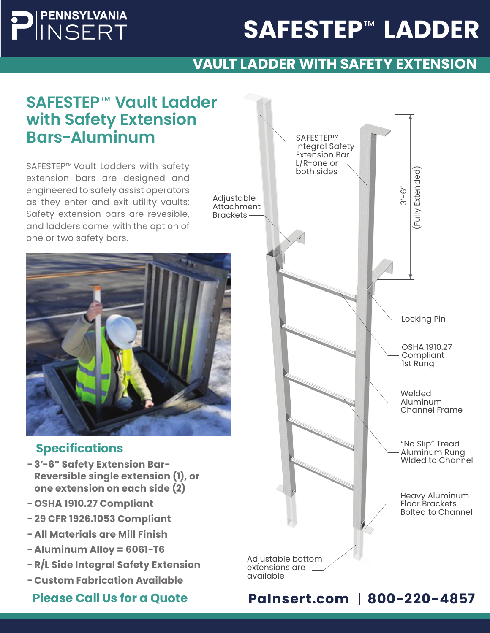# SAFESTEP™ LADDER

### **VAULT LADDER WITH SAFETY EXTENSION**

### **SAFESTEP Vault Ladder**  ™ **with Safety Extension Bars-Aluminum**

PENNSYLVANIA<br>INSERT

SAFESTEP™ Vault Ladders with safety **παραβαία το παραστηματικοί του ενα** με τη μεγαλλική μεγαλύδα του κατάλου<br>™ L/R-one or extension bars are designed and engineered to safely assist operators as they enter and exit utility vaults: Safety extension bars are revesible, and ladders come with the option of one or two safety bars.



#### **Specifications**

- **- 3'-6" Safety Extension Bar-Reversible single extension (1), or one extension on each side (2)**
- **- OSHA 1910.27 Compliant**
- **- 29 CFR 1926.1053 Compliant**
- **- All Materials are Mill Finish**
- **- Aluminum Alloy = 6061-T6**
- **- R/L Side Integral Safety Extension**
- **- Custom Fabrication Available**



Please Call Us for a Quote **PaInsert.com** | 800-220-4857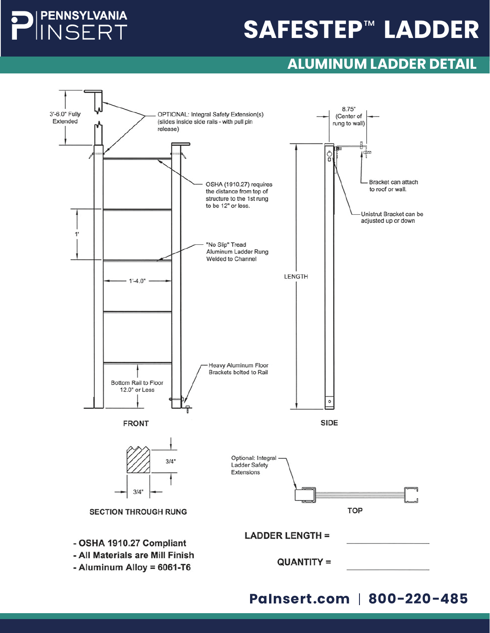### **PENNSYLVANIA NSERT**

# **SAFESTEP™ LADDER**

### **ALUMINUM LADDER DETAIL**

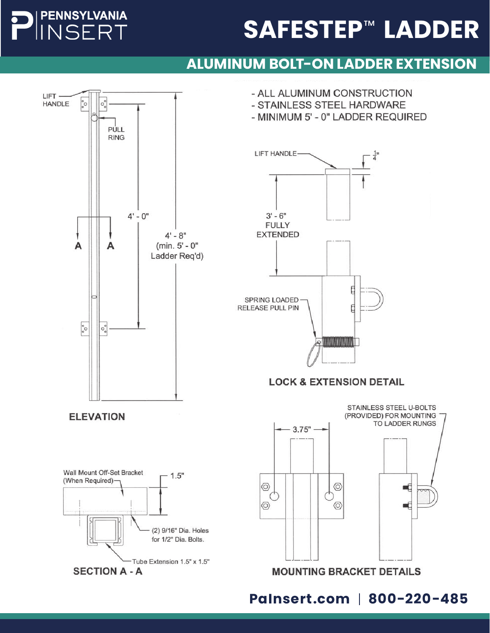# **PENNSYLVANIA** 400 FIRST AVENUE • ROYERSFORD, PA 19468

800-220-4857 • WWW.PAINSERT.COM

#### 5ERT **SAFESTEP™ LADDER** I ANIL

### **ALUMINUM BOLT-ON LADDER EXTENSION**

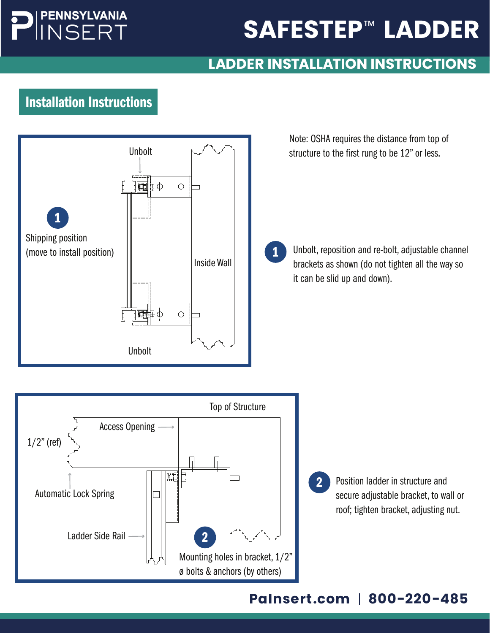# **PENNSYLVANIA** NSERT

# SAFESTEP<sup>™</sup> LADDER

# LADDER INSTALLATION INSTRUCTIONS

# Ladders Installation Instructions



Note: OSHA requires the distance from top of structure to the first rung to be 12" or less.

Unbolt, reposition and re-bolt, adjustable channel brackets as shown (do not tighten all the way so it can be slid up and down). 1



Position ladder in structure and secure adjustable bracket, to wall or roof; tighten bracket, adjusting nut.